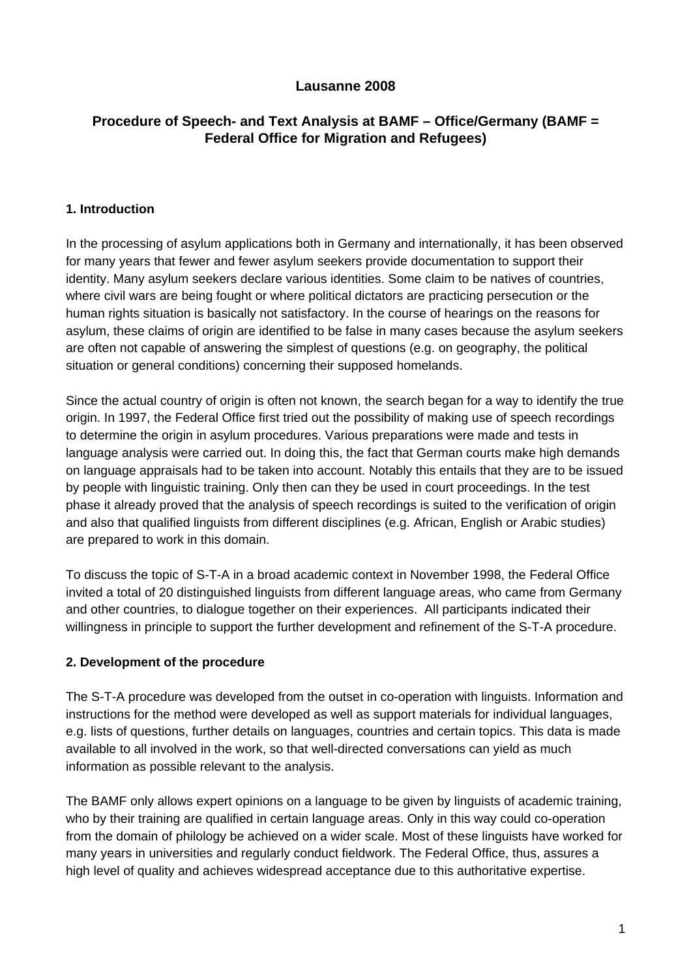# **Lausanne 2008**

# **Procedure of Speech- and Text Analysis at BAMF – Office/Germany (BAMF = Federal Office for Migration and Refugees)**

#### **1. Introduction**

In the processing of asylum applications both in Germany and internationally, it has been observed for many years that fewer and fewer asylum seekers provide documentation to support their identity. Many asylum seekers declare various identities. Some claim to be natives of countries, where civil wars are being fought or where political dictators are practicing persecution or the human rights situation is basically not satisfactory. In the course of hearings on the reasons for asylum, these claims of origin are identified to be false in many cases because the asylum seekers are often not capable of answering the simplest of questions (e.g. on geography, the political situation or general conditions) concerning their supposed homelands.

Since the actual country of origin is often not known, the search began for a way to identify the true origin. In 1997, the Federal Office first tried out the possibility of making use of speech recordings to determine the origin in asylum procedures. Various preparations were made and tests in language analysis were carried out. In doing this, the fact that German courts make high demands on language appraisals had to be taken into account. Notably this entails that they are to be issued by people with linguistic training. Only then can they be used in court proceedings. In the test phase it already proved that the analysis of speech recordings is suited to the verification of origin and also that qualified linguists from different disciplines (e.g. African, English or Arabic studies) are prepared to work in this domain.

To discuss the topic of S-T-A in a broad academic context in November 1998, the Federal Office invited a total of 20 distinguished linguists from different language areas, who came from Germany and other countries, to dialogue together on their experiences. All participants indicated their willingness in principle to support the further development and refinement of the S-T-A procedure.

#### **2. Development of the procedure**

The S-T-A procedure was developed from the outset in co-operation with linguists. Information and instructions for the method were developed as well as support materials for individual languages, e.g. lists of questions, further details on languages, countries and certain topics. This data is made available to all involved in the work, so that well-directed conversations can yield as much information as possible relevant to the analysis.

The BAMF only allows expert opinions on a language to be given by linguists of academic training, who by their training are qualified in certain language areas. Only in this way could co-operation from the domain of philology be achieved on a wider scale. Most of these linguists have worked for many years in universities and regularly conduct fieldwork. The Federal Office, thus, assures a high level of quality and achieves widespread acceptance due to this authoritative expertise.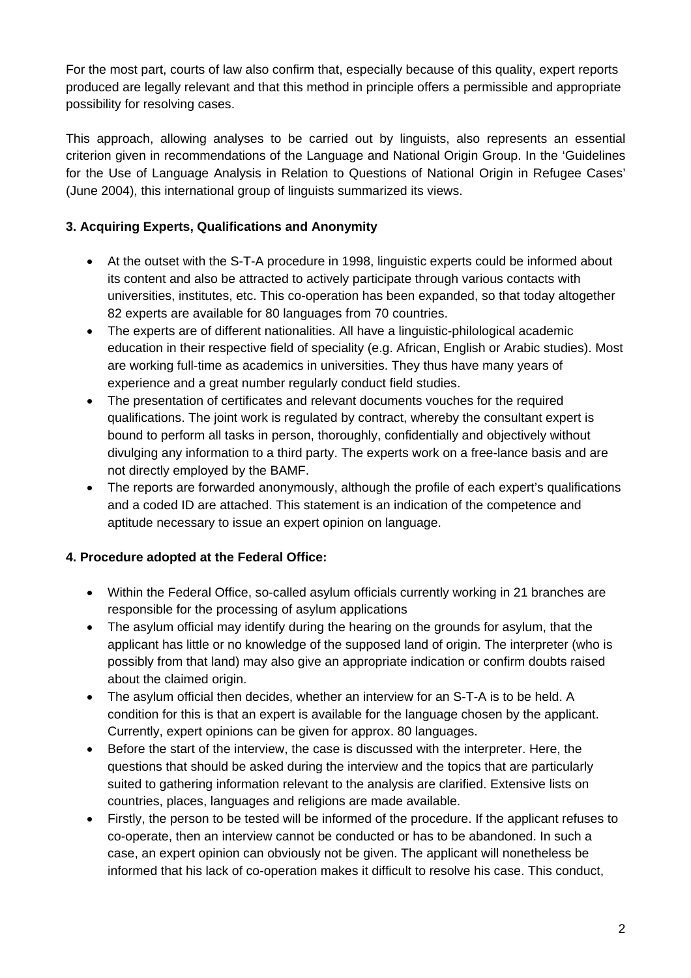For the most part, courts of law also confirm that, especially because of this quality, expert reports produced are legally relevant and that this method in principle offers a permissible and appropriate possibility for resolving cases.

This approach, allowing analyses to be carried out by linguists, also represents an essential criterion given in recommendations of the Language and National Origin Group. In the 'Guidelines for the Use of Language Analysis in Relation to Questions of National Origin in Refugee Cases' (June 2004), this international group of linguists summarized its views.

# **3. Acquiring Experts, Qualifications and Anonymity**

- At the outset with the S-T-A procedure in 1998, linguistic experts could be informed about its content and also be attracted to actively participate through various contacts with universities, institutes, etc. This co-operation has been expanded, so that today altogether 82 experts are available for 80 languages from 70 countries.
- The experts are of different nationalities. All have a linguistic-philological academic education in their respective field of speciality (e.g. African, English or Arabic studies). Most are working full-time as academics in universities. They thus have many years of experience and a great number regularly conduct field studies.
- The presentation of certificates and relevant documents vouches for the required qualifications. The joint work is regulated by contract, whereby the consultant expert is bound to perform all tasks in person, thoroughly, confidentially and objectively without divulging any information to a third party. The experts work on a free-lance basis and are not directly employed by the BAMF.
- The reports are forwarded anonymously, although the profile of each expert's qualifications and a coded ID are attached. This statement is an indication of the competence and aptitude necessary to issue an expert opinion on language.

# **4. Procedure adopted at the Federal Office:**

- Within the Federal Office, so-called asylum officials currently working in 21 branches are responsible for the processing of asylum applications
- The asylum official may identify during the hearing on the grounds for asylum, that the applicant has little or no knowledge of the supposed land of origin. The interpreter (who is possibly from that land) may also give an appropriate indication or confirm doubts raised about the claimed origin.
- The asylum official then decides, whether an interview for an S-T-A is to be held. A condition for this is that an expert is available for the language chosen by the applicant. Currently, expert opinions can be given for approx. 80 languages.
- Before the start of the interview, the case is discussed with the interpreter. Here, the questions that should be asked during the interview and the topics that are particularly suited to gathering information relevant to the analysis are clarified. Extensive lists on countries, places, languages and religions are made available.
- Firstly, the person to be tested will be informed of the procedure. If the applicant refuses to co-operate, then an interview cannot be conducted or has to be abandoned. In such a case, an expert opinion can obviously not be given. The applicant will nonetheless be informed that his lack of co-operation makes it difficult to resolve his case. This conduct,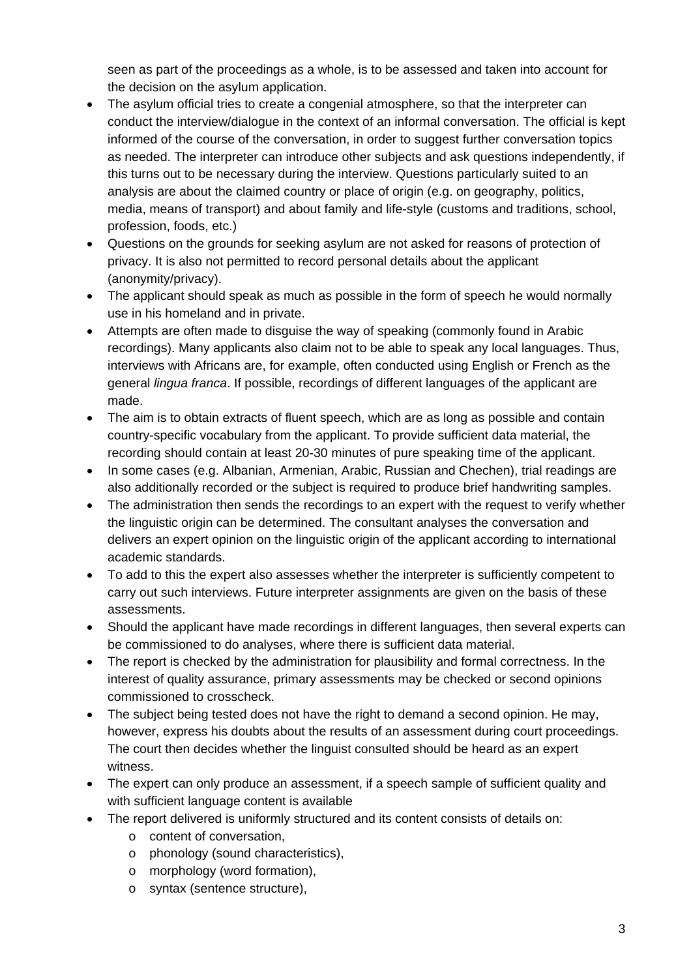seen as part of the proceedings as a whole, is to be assessed and taken into account for the decision on the asylum application.

- The asylum official tries to create a congenial atmosphere, so that the interpreter can conduct the interview/dialogue in the context of an informal conversation. The official is kept informed of the course of the conversation, in order to suggest further conversation topics as needed. The interpreter can introduce other subjects and ask questions independently, if this turns out to be necessary during the interview. Questions particularly suited to an analysis are about the claimed country or place of origin (e.g. on geography, politics, media, means of transport) and about family and life-style (customs and traditions, school, profession, foods, etc.)
- Questions on the grounds for seeking asylum are not asked for reasons of protection of privacy. It is also not permitted to record personal details about the applicant (anonymity/privacy).
- The applicant should speak as much as possible in the form of speech he would normally use in his homeland and in private.
- Attempts are often made to disguise the way of speaking (commonly found in Arabic recordings). Many applicants also claim not to be able to speak any local languages. Thus, interviews with Africans are, for example, often conducted using English or French as the general *lingua franca*. If possible, recordings of different languages of the applicant are made.
- The aim is to obtain extracts of fluent speech, which are as long as possible and contain country-specific vocabulary from the applicant. To provide sufficient data material, the recording should contain at least 20-30 minutes of pure speaking time of the applicant.
- In some cases (e.g. Albanian, Armenian, Arabic, Russian and Chechen), trial readings are also additionally recorded or the subject is required to produce brief handwriting samples.
- The administration then sends the recordings to an expert with the request to verify whether the linguistic origin can be determined. The consultant analyses the conversation and delivers an expert opinion on the linguistic origin of the applicant according to international academic standards.
- To add to this the expert also assesses whether the interpreter is sufficiently competent to carry out such interviews. Future interpreter assignments are given on the basis of these assessments.
- Should the applicant have made recordings in different languages, then several experts can be commissioned to do analyses, where there is sufficient data material.
- The report is checked by the administration for plausibility and formal correctness. In the interest of quality assurance, primary assessments may be checked or second opinions commissioned to crosscheck.
- The subject being tested does not have the right to demand a second opinion. He may, however, express his doubts about the results of an assessment during court proceedings. The court then decides whether the linguist consulted should be heard as an expert witness.
- The expert can only produce an assessment, if a speech sample of sufficient quality and with sufficient language content is available
- The report delivered is uniformly structured and its content consists of details on:
	- o content of conversation,
	- o phonology (sound characteristics),
	- o morphology (word formation),
	- o syntax (sentence structure),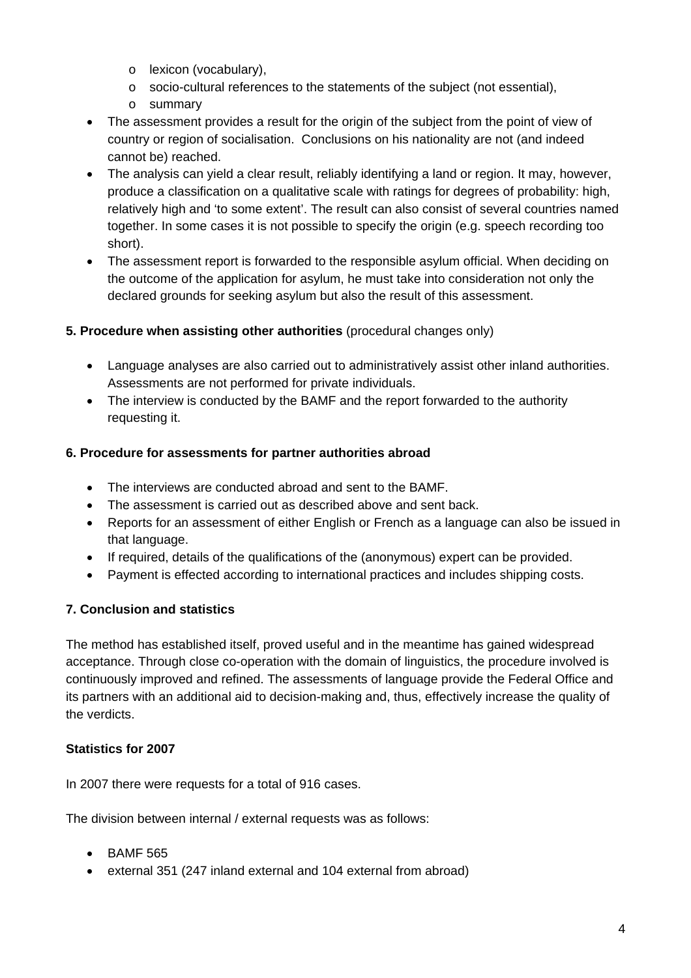- o lexicon (vocabulary),
- o socio-cultural references to the statements of the subject (not essential),
- o summary
- The assessment provides a result for the origin of the subject from the point of view of country or region of socialisation. Conclusions on his nationality are not (and indeed cannot be) reached.
- The analysis can yield a clear result, reliably identifying a land or region. It may, however, produce a classification on a qualitative scale with ratings for degrees of probability: high, relatively high and 'to some extent'. The result can also consist of several countries named together. In some cases it is not possible to specify the origin (e.g. speech recording too short).
- The assessment report is forwarded to the responsible asylum official. When deciding on the outcome of the application for asylum, he must take into consideration not only the declared grounds for seeking asylum but also the result of this assessment.

#### **5. Procedure when assisting other authorities** (procedural changes only)

- Language analyses are also carried out to administratively assist other inland authorities. Assessments are not performed for private individuals.
- The interview is conducted by the BAMF and the report forwarded to the authority requesting it.

#### **6. Procedure for assessments for partner authorities abroad**

- The interviews are conducted abroad and sent to the BAMF.
- The assessment is carried out as described above and sent back.
- Reports for an assessment of either English or French as a language can also be issued in that language.
- If required, details of the qualifications of the (anonymous) expert can be provided.
- Payment is effected according to international practices and includes shipping costs.

# **7. Conclusion and statistics**

The method has established itself, proved useful and in the meantime has gained widespread acceptance. Through close co-operation with the domain of linguistics, the procedure involved is continuously improved and refined. The assessments of language provide the Federal Office and its partners with an additional aid to decision-making and, thus, effectively increase the quality of the verdicts.

# **Statistics for 2007**

In 2007 there were requests for a total of 916 cases.

The division between internal / external requests was as follows:

- BAMF 565
- external 351 (247 inland external and 104 external from abroad)